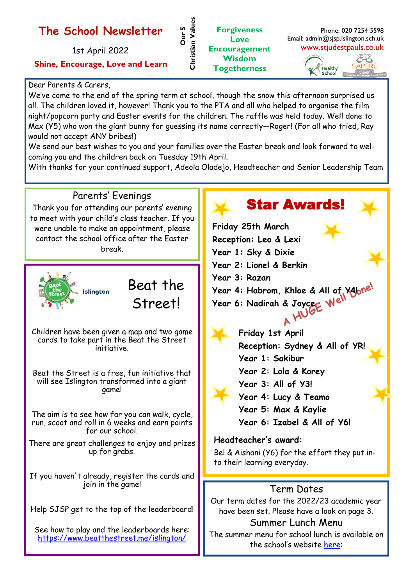## **The School Newsletter**

1st April 2022

**Shine, Encourage, Love and Learn**

#### Dear Parents & Carers,

We've come to the end of the spring term at school, though the snow this afternoon surprised us all. The children loved it, however! Thank you to the PTA and all who helped to organise the film night/popcorn party and Easter events for the children. The raffle was held today. Well done to Max (Y5) who won the giant bunny for guessing its name correctly—Roger! (For all who tried, Ray would not accept ANY bribes!)

**Our 5** 

**Christian Values**

Christian Values

**Forgiveness Love Encouragement Wisdom Togetherness**

We send our best wishes to you and your families over the Easter break and look forward to welcoming you and the children back on Tuesday 19th April.

With thanks for your continued support, Adeola Oladejo, Headteacher and Senior Leadership Team

#### Parents' Evenings Thank you for attending our parents' evening to meet with your child's class teacher. If you were unable to make an appointment, please contact the school office after the Easter break.



# Beat the Street!

Children have been given a map and two game cards to take part in the Beat the Street initiative.

Beat the Street is a free, fun initiative that will see Islington transformed into a giant game!

The aim is to see how far you can walk, cycle, run, scoot and roll in 6 weeks and earn points for our school.

There are great challenges to enjoy and prizes up for grabs.

If you haven't already, register the cards and join in the game!

Help SJSP get to the top of the leaderboard!

See how to play and the leaderboards here: <https://www.beatthestreet.me/islington/>

## Star Awards!

Phone: 020 7254 5598

EB **SAPERE** 

Email: admin@sjsp.islington.sch.uk www.stjudestpauls.co.uk

> Healthy School

**Friday 25th March Reception: Leo & Lexi Year 1: Sky & Dixie Year 2: Lionel & Berkin Year 3: Razan Year 4: Habrom, Khloe & All of Y4! Year 6: Nadirah & Joyce Friday 1st April Reception: Sydney & All of YR! Year 1: Sakibur Year 2: Lola & Korey Year 3: All of Y3!**

**Year 4: Lucy & Teamo**

- 
- **Year 5: Max & Kaylie**
- **Year 6: Izabel & All of Y6!**

#### **Headteacher's award:**

Bel & Aishani (Y6) for the effort they put into their learning everyday.

### Term Dates

Our term dates for the 2022/23 academic year have been set. Please have a look on page 3.

#### Summer Lunch Menu

The summer menu for school lunch is available on the school's website [here:](https://www.stjudestpauls.co.uk/page/?title=School+Meals&pid=55)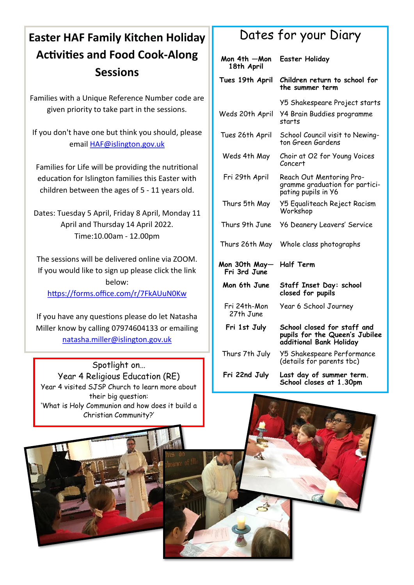## **Easter HAF Family Kitchen Holiday Activities and Food Cook-Along Sessions**

Families with a Unique Reference Number code are given priority to take part in the sessions.

If you don't have one but think you should, please email HAF@islington.gov.uk

Families for Life will be providing the nutritional education for Islington families this Easter with children between the ages of 5 - 11 years old.

Dates: Tuesday 5 April, Friday 8 April, Monday 11 April and Thursday 14 April 2022. Time:10.00am - 12.00pm

The sessions will be delivered online via ZOOM. If you would like to sign up please click the link below: <https://forms.office.com/r/7FkAUuN0Kw>

If you have any questions please do let Natasha Miller know by calling 07974604133 or emailing [natasha.miller@islington.gov.uk](mailto:natasha.miller@islington.gov.uk)

Spotlight on… Year 4 Religious Education (RE) Year 4 visited SJSP Church to learn more about their big question: 'What is Holy Communion and how does it build a Christian Community?'

## Dates for your Diary

| Mon 4th - Mon<br>18th April   | <b>Easter Holiday</b>                                                                    |
|-------------------------------|------------------------------------------------------------------------------------------|
| Tues 19th April               | Children return to school for<br>the summer term                                         |
|                               | Y5 Shakespeare Project starts                                                            |
| Weds 20th April               | <b>Y4 Brain Buddies programme</b><br>starts                                              |
| Tues 26th April               | School Council visit to Newing-<br>ton Green Gardens                                     |
| Weds 4th May                  | Choir at O2 for Young Voices<br>Concert                                                  |
| Fri 29th April                | Reach Out Mentoring Pro-<br>gramme graduation for partici-<br>pating pupils in Y6        |
| Thurs 5th May                 | Y5 Equaliteach Reject Racism<br>Workshop                                                 |
| Thurs 9th June                | <b>Y6 Deanery Leavers' Service</b>                                                       |
| Thurs 26th May                | Whole class photographs                                                                  |
| Mon 30th May—<br>Fri 3rd June | <b>Half Term</b>                                                                         |
| Mon 6th June                  | Staff Inset Day: school<br>closed for pupils                                             |
| Fri 24th-Mon<br>27th June     | Year 6 School Journey                                                                    |
| Fri 1st July                  | School closed for staff and<br>pupils for the Queen's Jubilee<br>additional Bank Holiday |
| Thurs 7th July                | <b>Y5 Shakespeare Performance</b><br>(details for parents tbc)                           |
| Fri 22nd July                 | Last day of summer term.<br>School closes at 1.30pm                                      |

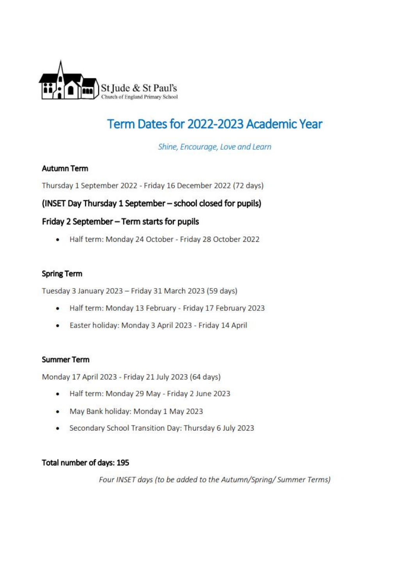

## Term Dates for 2022-2023 Academic Year

Shine, Encourage, Love and Learn

#### **Autumn Term**

Thursday 1 September 2022 - Friday 16 December 2022 (72 days)

#### (INSET Day Thursday 1 September - school closed for pupils)

#### Friday 2 September - Term starts for pupils

Half term: Monday 24 October - Friday 28 October 2022  $\bullet$ 

#### **Spring Term**

Tuesday 3 January 2023 - Friday 31 March 2023 (59 days)

- Half term: Monday 13 February Friday 17 February 2023
- Easter holiday: Monday 3 April 2023 Friday 14 April

#### **Summer Term**

Monday 17 April 2023 - Friday 21 July 2023 (64 days)

- Half term: Monday 29 May Friday 2 June 2023
- May Bank holiday: Monday 1 May 2023
- Secondary School Transition Day: Thursday 6 July 2023

#### Total number of days: 195

Four INSET days (to be added to the Autumn/Spring/ Summer Terms)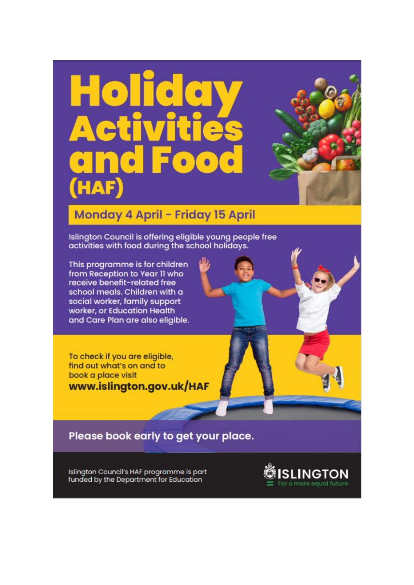# НАҒ



## Monday 4 April - Friday 15 April

Islington Council is offering eligible young people free activities with food during the school holidays.

This programme is for children from Reception to Year II who receive benefit-related free school meals. Children with a social worker, family support worker, or Education Health and Care Plan are also eligible.

To check if you are eligible, find out what's on and to book a place visit www.islington.gov.uk/HAF

Please book early to get your place.

Islington Council's HAF programme is part funded by the Department for Education